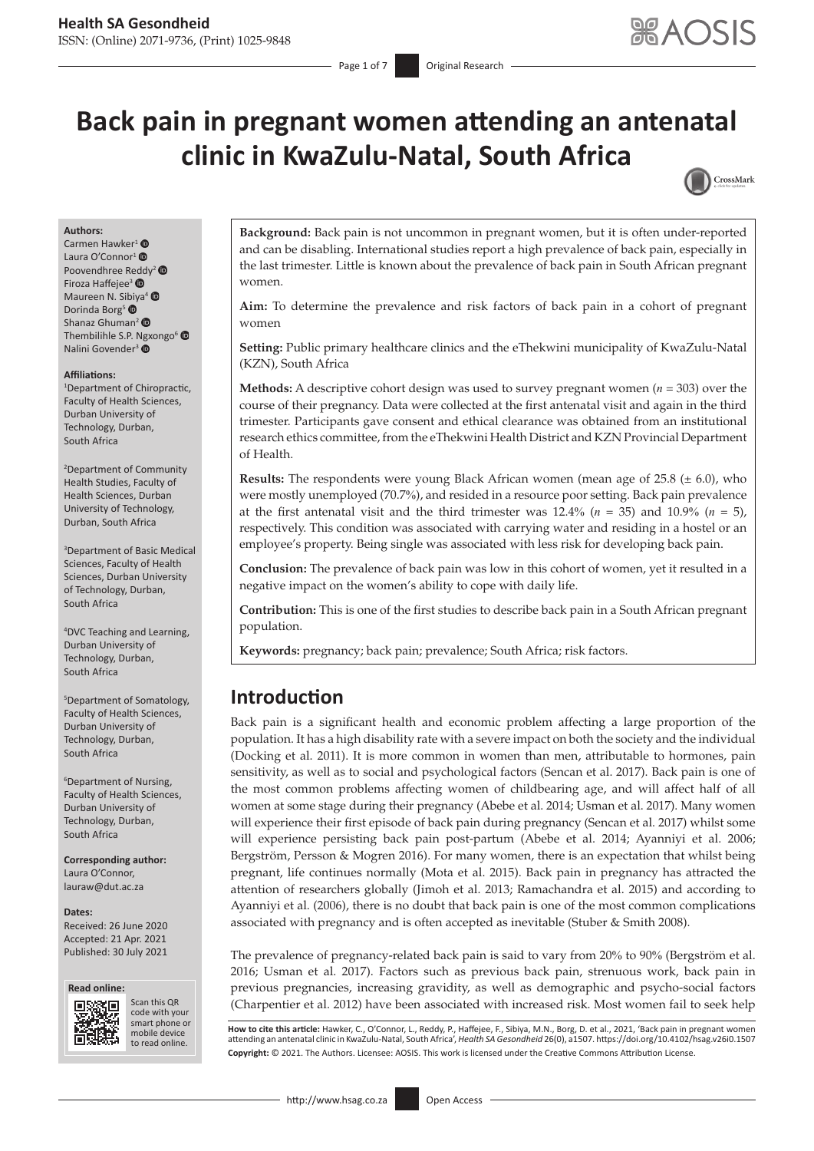# **Back pain in pregnant women attending an antenatal clinic in KwaZulu-Natal, South Africa**



#### **Authors:**

Carmen Hawker<sup>[1](http://orcid.org/0000-0001-7168-1788)</sup> $\bullet$ Laura O'Connor<sup>1</sup> <sup>O</sup> Poovendhree R[edd](https://orcid.org/0000-0002-3908-8949)y<sup>[2](https://orcid.org/0000-0003-0197-8951)</sup> Firoza Haffejee<sup>3</sup> Maureen N. S[ibiy](https://orcid.org/0000-0002-3819-3309)a<sup>[4](https://orcid.org/0000-0003-1220-1478)</sup> Dorinda Borg<sup>5</sup> Shanaz Ghuman<sup>2</sup> Thembilihle S.P. [Ngx](https://orcid.org/0000-0002-4047-6340)ongo<sup>[6](https://orcid.org/0000-0003-1009-5480)</sup> Nalini Govender<sup>3</sup>

#### **Affiliations:**

1 Department of Chiropractic, Faculty of Health Sciences, Durban University of Technology, Durban, South Africa

2 Department of Community Health Studies, Faculty of Health Sciences, Durban University of Technology, Durban, South Africa

3 Department of Basic Medical Sciences, Faculty of Health Sciences, Durban University of Technology, Durban, South Africa

4 DVC Teaching and Learning, Durban University of Technology, Durban, South Africa

5 Department of Somatology, Faculty of Health Sciences, Durban University of Technology, Durban, South Africa

6 Department of Nursing, Faculty of Health Sciences, Durban University of Technology, Durban, South Africa

**Corresponding author:** Laura O'Connor, [lauraw@dut.ac.za](mailto:lauraw@dut.ac.za)

#### **Dates:**

Received: 26 June 2020 Accepted: 21 Apr. 2021 Published: 30 July 2021





Scan this QR code with your Scan this QR<br>code with your<br>smart phone or<br>mobile device mobile device to read online. to read online.

**Background:** Back pain is not uncommon in pregnant women, but it is often under-reported and can be disabling. International studies report a high prevalence of back pain, especially in the last trimester. Little is known about the prevalence of back pain in South African pregnant women.

**Aim:** To determine the prevalence and risk factors of back pain in a cohort of pregnant women

**Setting:** Public primary healthcare clinics and the eThekwini municipality of KwaZulu-Natal (KZN), South Africa

**Methods:** A descriptive cohort design was used to survey pregnant women (*n* = 303) over the course of their pregnancy. Data were collected at the first antenatal visit and again in the third trimester. Participants gave consent and ethical clearance was obtained from an institutional research ethics committee, from the eThekwini Health District and KZN Provincial Department of Health.

**Results:** The respondents were young Black African women (mean age of  $25.8 \ (\pm 6.0)$ , who were mostly unemployed (70.7%), and resided in a resource poor setting. Back pain prevalence at the first antenatal visit and the third trimester was  $12.4\%$  ( $n = 35$ ) and  $10.9\%$  ( $n = 5$ ), respectively. This condition was associated with carrying water and residing in a hostel or an employee's property. Being single was associated with less risk for developing back pain.

**Conclusion:** The prevalence of back pain was low in this cohort of women, yet it resulted in a negative impact on the women's ability to cope with daily life.

**Contribution:** This is one of the first studies to describe back pain in a South African pregnant population.

**Keywords:** pregnancy; back pain; prevalence; South Africa; risk factors.

### **Introduction**

Back pain is a significant health and economic problem affecting a large proportion of the population. It has a high disability rate with a severe impact on both the society and the individual (Docking et al. 2011). It is more common in women than men, attributable to hormones, pain sensitivity, as well as to social and psychological factors (Sencan et al. 2017). Back pain is one of the most common problems affecting women of childbearing age, and will affect half of all women at some stage during their pregnancy (Abebe et al. 2014; Usman et al. 2017). Many women will experience their first episode of back pain during pregnancy (Sencan et al. 2017) whilst some will experience persisting back pain post-partum (Abebe et al. 2014; Ayanniyi et al. 2006; Bergström, Persson & Mogren 2016). For many women, there is an expectation that whilst being pregnant, life continues normally (Mota et al. 2015). Back pain in pregnancy has attracted the attention of researchers globally (Jimoh et al. 2013; Ramachandra et al. 2015) and according to Ayanniyi et al. (2006), there is no doubt that back pain is one of the most common complications associated with pregnancy and is often accepted as inevitable (Stuber & Smith 2008).

The prevalence of pregnancy-related back pain is said to vary from 20% to 90% (Bergström et al. 2016; Usman et al. 2017). Factors such as previous back pain, strenuous work, back pain in previous pregnancies, increasing gravidity, as well as demographic and psycho-social factors (Charpentier et al. 2012) have been associated with increased risk. Most women fail to seek help

**How to cite this article:** Hawker, C., O'Connor, L., Reddy, P., Haffejee, F., Sibiya, M.N., Borg, D. et al., 2021, 'Back pain in pregnant women<br>attending an antenatal clinic in KwaZulu-Natal, South Africa', *Health SA Ges* **Copyright:** © 2021. The Authors. Licensee: AOSIS. This work is licensed under the Creative Commons Attribution License.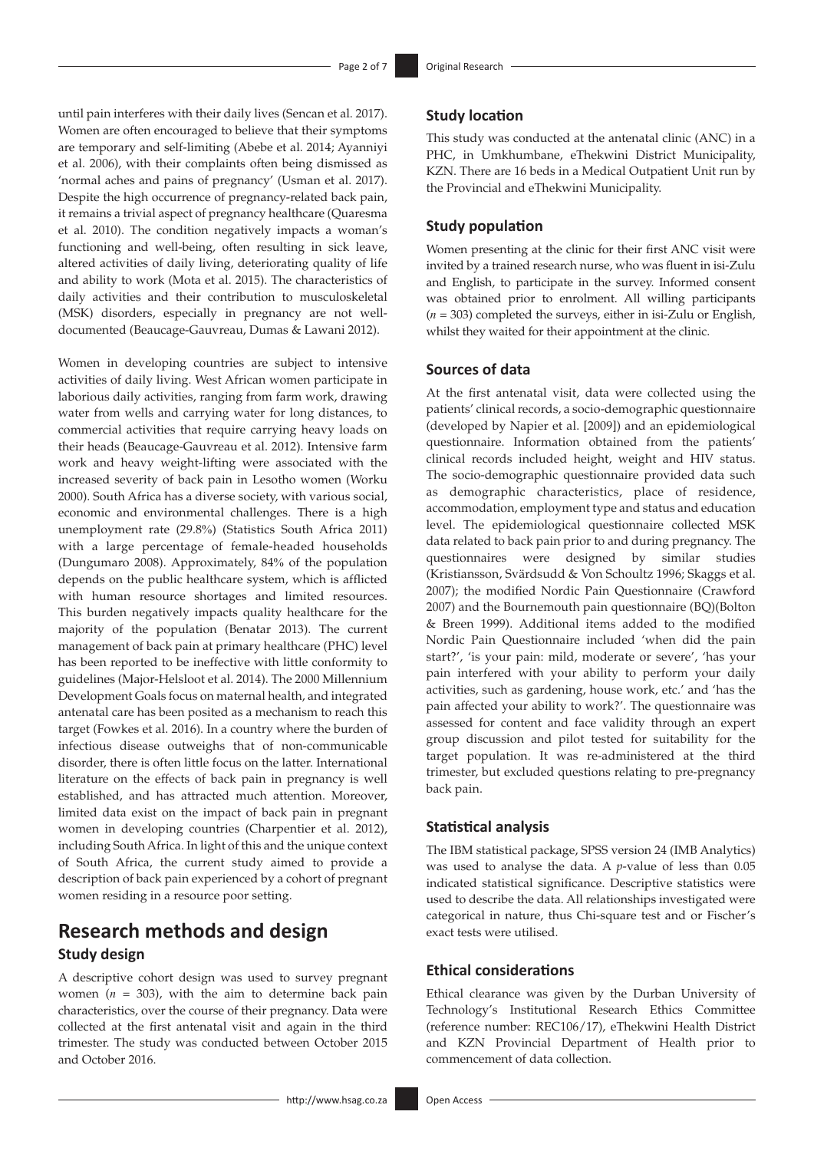until pain interferes with their daily lives (Sencan et al. 2017). Women are often encouraged to believe that their symptoms are temporary and self-limiting (Abebe et al. 2014; Ayanniyi et al. 2006), with their complaints often being dismissed as 'normal aches and pains of pregnancy' (Usman et al. 2017). Despite the high occurrence of pregnancy-related back pain, it remains a trivial aspect of pregnancy healthcare (Quaresma et al. 2010). The condition negatively impacts a woman's functioning and well-being, often resulting in sick leave, altered activities of daily living, deteriorating quality of life and ability to work (Mota et al. 2015). The characteristics of daily activities and their contribution to musculoskeletal (MSK) disorders, especially in pregnancy are not welldocumented (Beaucage-Gauvreau, Dumas & Lawani 2012).

Women in developing countries are subject to intensive activities of daily living. West African women participate in laborious daily activities, ranging from farm work, drawing water from wells and carrying water for long distances, to commercial activities that require carrying heavy loads on their heads (Beaucage-Gauvreau et al. 2012). Intensive farm work and heavy weight-lifting were associated with the increased severity of back pain in Lesotho women (Worku 2000). South Africa has a diverse society, with various social, economic and environmental challenges. There is a high unemployment rate (29.8%) (Statistics South Africa 2011) with a large percentage of female-headed households (Dungumaro 2008). Approximately, 84% of the population depends on the public healthcare system, which is afflicted with human resource shortages and limited resources. This burden negatively impacts quality healthcare for the majority of the population (Benatar 2013). The current management of back pain at primary healthcare (PHC) level has been reported to be ineffective with little conformity to guidelines (Major-Helsloot et al. 2014). The 2000 Millennium Development Goals focus on maternal health, and integrated antenatal care has been posited as a mechanism to reach this target (Fowkes et al. 2016). In a country where the burden of infectious disease outweighs that of non-communicable disorder, there is often little focus on the latter. International literature on the effects of back pain in pregnancy is well established, and has attracted much attention. Moreover, limited data exist on the impact of back pain in pregnant women in developing countries (Charpentier et al. 2012), including South Africa. In light of this and the unique context of South Africa, the current study aimed to provide a description of back pain experienced by a cohort of pregnant women residing in a resource poor setting.

### **Research methods and design Study design**

A descriptive cohort design was used to survey pregnant women  $(n = 303)$ , with the aim to determine back pain characteristics, over the course of their pregnancy. Data were collected at the first antenatal visit and again in the third trimester. The study was conducted between October 2015 and October 2016.

This study was conducted at the antenatal clinic (ANC) in a PHC, in Umkhumbane, eThekwini District Municipality, KZN. There are 16 beds in a Medical Outpatient Unit run by the Provincial and eThekwini Municipality.

### **Study population**

Women presenting at the clinic for their first ANC visit were invited by a trained research nurse, who was fluent in isi-Zulu and English, to participate in the survey. Informed consent was obtained prior to enrolment. All willing participants (*n* = 303) completed the surveys, either in isi-Zulu or English, whilst they waited for their appointment at the clinic.

### **Sources of data**

At the first antenatal visit, data were collected using the patients' clinical records, a socio-demographic questionnaire (developed by Napier et al. [2009]) and an epidemiological questionnaire. Information obtained from the patients' clinical records included height, weight and HIV status. The socio-demographic questionnaire provided data such as demographic characteristics, place of residence, accommodation, employment type and status and education level. The epidemiological questionnaire collected MSK data related to back pain prior to and during pregnancy. The questionnaires were designed by similar studies (Kristiansson, Svärdsudd & Von Schoultz 1996; Skaggs et al. 2007); the modified Nordic Pain Questionnaire (Crawford 2007) and the Bournemouth pain questionnaire (BQ)(Bolton & Breen 1999). Additional items added to the modified Nordic Pain Questionnaire included 'when did the pain start?', 'is your pain: mild, moderate or severe', 'has your pain interfered with your ability to perform your daily activities, such as gardening, house work, etc.' and 'has the pain affected your ability to work?'. The questionnaire was assessed for content and face validity through an expert group discussion and pilot tested for suitability for the target population. It was re-administered at the third trimester, but excluded questions relating to pre-pregnancy back pain.

#### **Statistical analysis**

The IBM statistical package, SPSS version 24 (IMB Analytics) was used to analyse the data. A *p*-value of less than 0.05 indicated statistical significance. Descriptive statistics were used to describe the data. All relationships investigated were categorical in nature, thus Chi-square test and or Fischer's exact tests were utilised.

### **Ethical considerations**

Ethical clearance was given by the Durban University of Technology's Institutional Research Ethics Committee (reference number: REC106/17), eThekwini Health District and KZN Provincial Department of Health prior to commencement of data collection.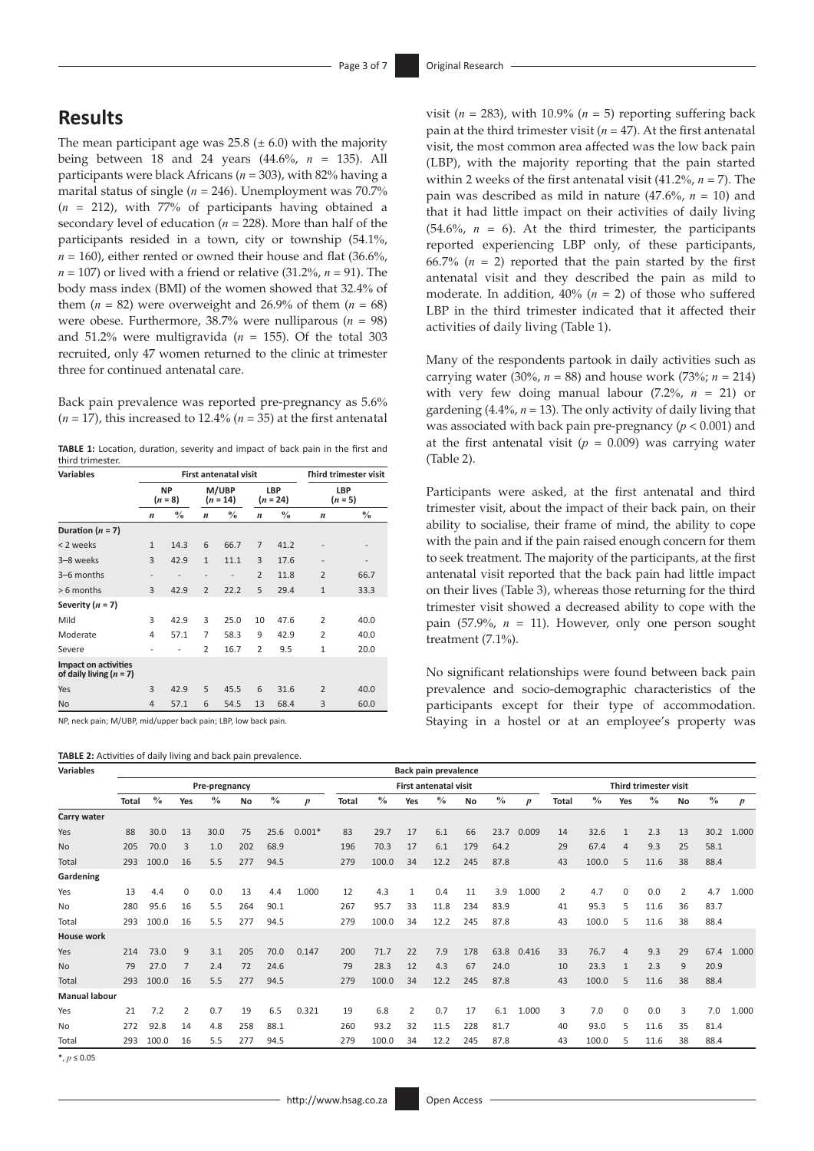## **Results**

The mean participant age was  $25.8 \ (\pm 6.0)$  with the majority being between 18 and 24 years (44.6%, *n* = 135). All participants were black Africans (*n* = 303), with 82% having a marital status of single ( $n = 246$ ). Unemployment was 70.7% (*n* = 212), with 77% of participants having obtained a secondary level of education (*n* = 228). More than half of the participants resided in a town, city or township (54.1%,  $n = 160$ ), either rented or owned their house and flat  $(36.6\%$ ,  $n = 107$ ) or lived with a friend or relative (31.2%,  $n = 91$ ). The body mass index (BMI) of the women showed that 32.4% of them  $(n = 82)$  were overweight and 26.9% of them  $(n = 68)$ were obese. Furthermore, 38.7% were nulliparous (*n* = 98) and 51.2% were multigravida ( $n = 155$ ). Of the total 303 recruited, only 47 women returned to the clinic at trimester three for continued antenatal care.

Back pain prevalence was reported pre-pregnancy as 5.6%  $(n = 17)$ , this increased to 12.4%  $(n = 35)$  at the first antenatal

**TABLE 1:** Location, duration, severity and impact of back pain in the first and third trimester.

| <b>Variables</b>                                         |                  |                          |                          | <b>First antenatal visit</b> |                  |                          |                  | <b>Third trimester visit</b> |
|----------------------------------------------------------|------------------|--------------------------|--------------------------|------------------------------|------------------|--------------------------|------------------|------------------------------|
|                                                          |                  | <b>NP</b><br>$(n = 8)$   |                          | M/UBP<br>$(n = 14)$          |                  | <b>LBP</b><br>$(n = 24)$ |                  | <b>LBP</b><br>$(n = 5)$      |
|                                                          | $\boldsymbol{n}$ | $\frac{0}{0}$            | $\boldsymbol{n}$         | $\frac{0}{0}$                | $\boldsymbol{n}$ | $\frac{0}{0}$            | $\boldsymbol{n}$ | $\frac{0}{0}$                |
| Duration $(n = 7)$                                       |                  |                          |                          |                              |                  |                          |                  |                              |
| < 2 weeks                                                | $\mathbf{1}$     | 14.3                     | 6                        | 66.7                         | $\overline{7}$   | 41.2                     | $\overline{a}$   |                              |
| 3-8 weeks                                                | 3                | 42.9                     | $\mathbf{1}$             | 11.1                         | 3                | 17.6                     | $\overline{a}$   | $\overline{\phantom{a}}$     |
| 3-6 months                                               | $\overline{a}$   | $\overline{\phantom{0}}$ | $\overline{\phantom{0}}$ | $\overline{a}$               | $\overline{2}$   | 11.8                     | $\overline{2}$   | 66.7                         |
| > 6 months                                               | 3                | 42.9                     | $\overline{2}$           | 22.2                         | 5                | 29.4                     | $\mathbf{1}$     | 33.3                         |
| Severity $(n = 7)$                                       |                  |                          |                          |                              |                  |                          |                  |                              |
| Mild                                                     | 3                | 42.9                     | 3                        | 25.0                         | 10               | 47.6                     | $\overline{2}$   | 40.0                         |
| Moderate                                                 | 4                | 57.1                     | 7                        | 58.3                         | 9                | 42.9                     | $\overline{2}$   | 40.0                         |
| Severe                                                   |                  |                          | $\overline{2}$           | 16.7                         | $\overline{2}$   | 9.5                      | 1                | 20.0                         |
| <b>Impact on activities</b><br>of daily living $(n = 7)$ |                  |                          |                          |                              |                  |                          |                  |                              |
| Yes                                                      | 3                | 42.9                     | 5                        | 45.5                         | 6                | 31.6                     | $\overline{2}$   | 40.0                         |
| <b>No</b>                                                | $\overline{4}$   | 57.1                     | 6                        | 54.5                         | 13               | 68.4                     | 3                | 60.0                         |

NP, neck pain; M/UBP, mid/upper back pain; LBP, low back pain.

| TABLE 2: Activities of daily living and back pain prevalence. |  |  |  |  |
|---------------------------------------------------------------|--|--|--|--|
|---------------------------------------------------------------|--|--|--|--|

visit ( $n = 283$ ), with 10.9% ( $n = 5$ ) reporting suffering back pain at the third trimester visit  $(n = 47)$ . At the first antenatal visit, the most common area affected was the low back pain (LBP), with the majority reporting that the pain started within 2 weeks of the first antenatal visit (41.2%, *n* = 7). The pain was described as mild in nature (47.6%, *n* = 10) and that it had little impact on their activities of daily living  $(54.6\%, n = 6)$ . At the third trimester, the participants reported experiencing LBP only, of these participants, 66.7%  $(n = 2)$  reported that the pain started by the first antenatal visit and they described the pain as mild to moderate. In addition, 40% (*n* = 2) of those who suffered LBP in the third trimester indicated that it affected their activities of daily living (Table 1).

Many of the respondents partook in daily activities such as carrying water (30%,  $n = 88$ ) and house work (73%;  $n = 214$ ) with very few doing manual labour  $(7.2\%, n = 21)$  or gardening (4.4%, *n* = 13). The only activity of daily living that was associated with back pain pre-pregnancy (*p* < 0.001) and at the first antenatal visit  $(p = 0.009)$  was carrying water (Table 2).

Participants were asked, at the first antenatal and third trimester visit, about the impact of their back pain, on their ability to socialise, their frame of mind, the ability to cope with the pain and if the pain raised enough concern for them to seek treatment. The majority of the participants, at the first antenatal visit reported that the back pain had little impact on their lives (Table 3), whereas those returning for the third trimester visit showed a decreased ability to cope with the pain  $(57.9\%, n = 11)$ . However, only one person sought treatment (7.1%).

No significant relationships were found between back pain prevalence and socio-demographic characteristics of the participants except for their type of accommodation. Staying in a hostel or at an employee's property was

| <b>Variables</b>     |       |               |             |               |     |               |                  |       |               |     | <b>Back pain prevalence</b>  |           |               |                  |              |               |              |                       |    |               |                  |
|----------------------|-------|---------------|-------------|---------------|-----|---------------|------------------|-------|---------------|-----|------------------------------|-----------|---------------|------------------|--------------|---------------|--------------|-----------------------|----|---------------|------------------|
|                      |       |               |             | Pre-pregnancy |     |               |                  |       |               |     | <b>First antenatal visit</b> |           |               |                  |              |               |              | Third trimester visit |    |               |                  |
|                      | Total | $\frac{0}{0}$ | Yes         | $\frac{0}{0}$ | No  | $\frac{0}{0}$ | $\boldsymbol{p}$ | Total | $\frac{0}{0}$ | Yes | $\frac{0}{0}$                | <b>No</b> | $\frac{0}{0}$ | $\boldsymbol{p}$ | <b>Total</b> | $\frac{0}{0}$ | Yes          | $\frac{0}{0}$         | No | $\frac{0}{0}$ | $\boldsymbol{p}$ |
| Carry water          |       |               |             |               |     |               |                  |       |               |     |                              |           |               |                  |              |               |              |                       |    |               |                  |
| Yes                  | 88    | 30.0          | 13          | 30.0          | 75  | 25.6          | $0.001*$         | 83    | 29.7          | 17  | 6.1                          | 66        | 23.7          | 0.009            | 14           | 32.6          | $\mathbf{1}$ | 2.3                   | 13 | 30.2          | 1.000            |
| <b>No</b>            | 205   | 70.0          | 3           | 1.0           | 202 | 68.9          |                  | 196   | 70.3          | 17  | 6.1                          | 179       | 64.2          |                  | 29           | 67.4          | 4            | 9.3                   | 25 | 58.1          |                  |
| Total                | 293   | 100.0         | 16          | 5.5           | 277 | 94.5          |                  | 279   | 100.0         | 34  | 12.2                         | 245       | 87.8          |                  | 43           | 100.0         | 5            | 11.6                  | 38 | 88.4          |                  |
| Gardening            |       |               |             |               |     |               |                  |       |               |     |                              |           |               |                  |              |               |              |                       |    |               |                  |
| Yes                  | 13    | 4.4           | $\mathbf 0$ | 0.0           | 13  | 4.4           | 1.000            | 12    | 4.3           |     | 0.4                          | 11        | 3.9           | 1.000            | 2            | 4.7           | $\Omega$     | 0.0                   | 2  | 4.7           | 1.000            |
| <b>No</b>            | 280   | 95.6          | 16          | 5.5           | 264 | 90.1          |                  | 267   | 95.7          | 33  | 11.8                         | 234       | 83.9          |                  | 41           | 95.3          | 5            | 11.6                  | 36 | 83.7          |                  |
| Total                | 293   | 100.0         | 16          | 5.5           | 277 | 94.5          |                  | 279   | 100.0         | 34  | 12.2                         | 245       | 87.8          |                  | 43           | 100.0         | 5            | 11.6                  | 38 | 88.4          |                  |
| <b>House work</b>    |       |               |             |               |     |               |                  |       |               |     |                              |           |               |                  |              |               |              |                       |    |               |                  |
| Yes                  | 214   | 73.0          | 9           | 3.1           | 205 | 70.0          | 0.147            | 200   | 71.7          | 22  | 7.9                          | 178       | 63.8          | 0.416            | 33           | 76.7          | 4            | 9.3                   | 29 | 67.4          | 1.000            |
| <b>No</b>            | 79    | 27.0          |             | 2.4           | 72  | 24.6          |                  | 79    | 28.3          | 12  | 4.3                          | 67        | 24.0          |                  | 10           | 23.3          |              | 2.3                   | 9  | 20.9          |                  |
| Total                | 293   | 100.0         | 16          | 5.5           | 277 | 94.5          |                  | 279   | 100.0         | 34  | 12.2                         | 245       | 87.8          |                  | 43           | 100.0         | 5            | 11.6                  | 38 | 88.4          |                  |
| <b>Manual labour</b> |       |               |             |               |     |               |                  |       |               |     |                              |           |               |                  |              |               |              |                       |    |               |                  |
| Yes                  | 21    | 7.2           | 2           | 0.7           | 19  | 6.5           | 0.321            | 19    | 6.8           | 2   | 0.7                          | 17        | 6.1           | 1.000            | 3            | 7.0           | $\Omega$     | 0.0                   | 3  | 7.0           | 1.000            |
| <b>No</b>            | 272   | 92.8          | 14          | 4.8           | 258 | 88.1          |                  | 260   | 93.2          | 32  | 11.5                         | 228       | 81.7          |                  | 40           | 93.0          | 5.           | 11.6                  | 35 | 81.4          |                  |
| Total                | 293   | 100.0         | 16          | 5.5           | 277 | 94.5          |                  | 279   | 100.0         | 34  | 12.2                         | 245       | 87.8          |                  | 43           | 100.0         | 5            | 11.6                  | 38 | 88.4          |                  |

\*, *p* ≤ 0.05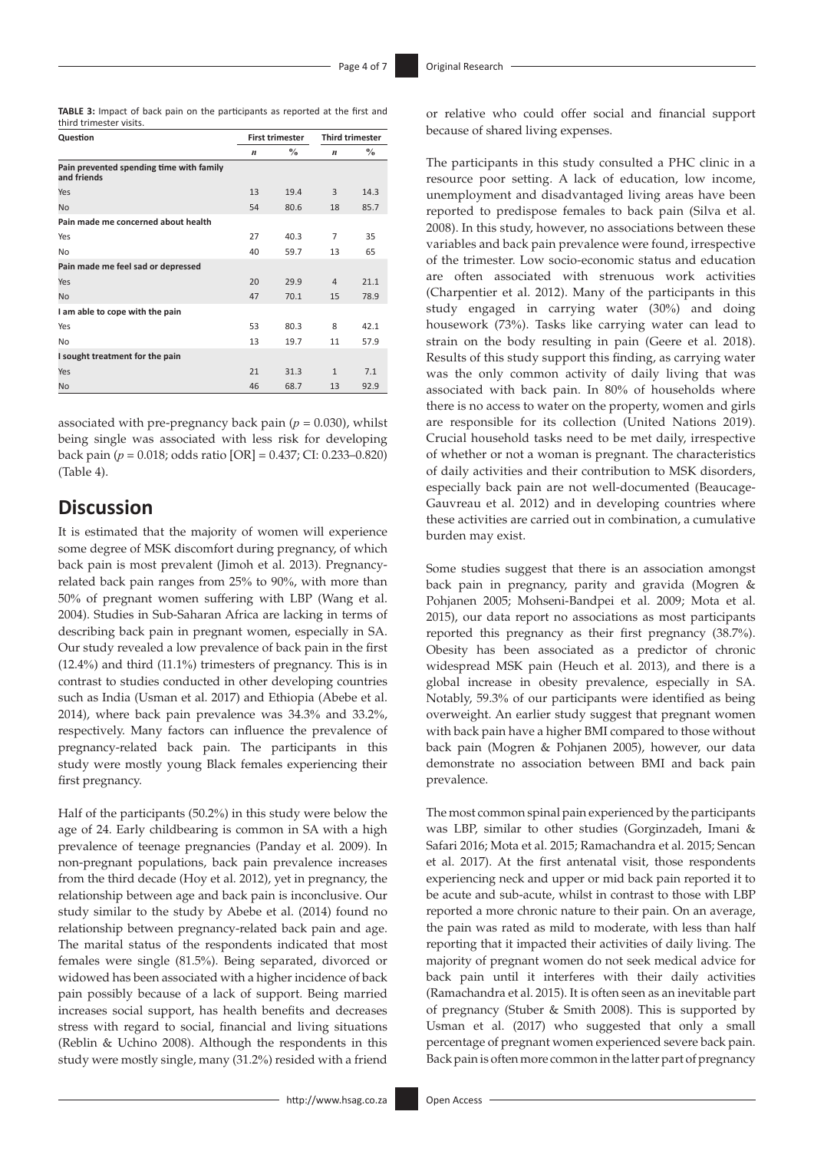| <b>TABLE 3:</b> Impact of back pain on the participants as reported at the first and |  |  |  |
|--------------------------------------------------------------------------------------|--|--|--|
| third trimester visits.                                                              |  |  |  |

| Question                                                |                  | <b>First trimester</b> |                  | <b>Third trimester</b> |
|---------------------------------------------------------|------------------|------------------------|------------------|------------------------|
|                                                         | $\boldsymbol{n}$ | $\frac{0}{0}$          | $\boldsymbol{n}$ | $\frac{0}{0}$          |
| Pain prevented spending time with family<br>and friends |                  |                        |                  |                        |
| Yes                                                     | 13               | 19.4                   | 3                | 14.3                   |
| <b>No</b>                                               | 54               | 80.6                   | 18               | 85.7                   |
| Pain made me concerned about health                     |                  |                        |                  |                        |
| Yes                                                     | 27               | 40.3                   | 7                | 35                     |
| <b>No</b>                                               | 40               | 59.7                   | 13               | 65                     |
| Pain made me feel sad or depressed                      |                  |                        |                  |                        |
| Yes                                                     | 20               | 29.9                   | $\overline{4}$   | 21.1                   |
| <b>No</b>                                               | 47               | 70.1                   | 15               | 78.9                   |
| I am able to cope with the pain                         |                  |                        |                  |                        |
| Yes                                                     | 53               | 80.3                   | 8                | 42.1                   |
| N <sub>o</sub>                                          | 13               | 19.7                   | 11               | 57.9                   |
| I sought treatment for the pain                         |                  |                        |                  |                        |
| Yes                                                     | 21               | 31.3                   | $\mathbf{1}$     | 7.1                    |
| No                                                      | 46               | 68.7                   | 13               | 92.9                   |

associated with pre-pregnancy back pain  $(p = 0.030)$ , whilst being single was associated with less risk for developing back pain (*p* = 0.018; odds ratio [OR] = 0.437; CI: 0.233–0.820) (Table 4).

# **Discussion**

It is estimated that the majority of women will experience some degree of MSK discomfort during pregnancy, of which back pain is most prevalent (Jimoh et al. 2013). Pregnancyrelated back pain ranges from 25% to 90%, with more than 50% of pregnant women suffering with LBP (Wang et al. 2004). Studies in Sub-Saharan Africa are lacking in terms of describing back pain in pregnant women, especially in SA. Our study revealed a low prevalence of back pain in the first (12.4%) and third (11.1%) trimesters of pregnancy. This is in contrast to studies conducted in other developing countries such as India (Usman et al. 2017) and Ethiopia (Abebe et al. 2014), where back pain prevalence was 34.3% and 33.2%, respectively. Many factors can influence the prevalence of pregnancy-related back pain. The participants in this study were mostly young Black females experiencing their first pregnancy.

Half of the participants (50.2%) in this study were below the age of 24. Early childbearing is common in SA with a high prevalence of teenage pregnancies (Panday et al. 2009). In non-pregnant populations, back pain prevalence increases from the third decade (Hoy et al. 2012), yet in pregnancy, the relationship between age and back pain is inconclusive. Our study similar to the study by Abebe et al. (2014) found no relationship between pregnancy-related back pain and age. The marital status of the respondents indicated that most females were single (81.5%). Being separated, divorced or widowed has been associated with a higher incidence of back pain possibly because of a lack of support. Being married increases social support, has health benefits and decreases stress with regard to social, financial and living situations (Reblin & Uchino 2008). Although the respondents in this study were mostly single, many (31.2%) resided with a friend

or relative who could offer social and financial support because of shared living expenses.

The participants in this study consulted a PHC clinic in a resource poor setting. A lack of education, low income, unemployment and disadvantaged living areas have been reported to predispose females to back pain (Silva et al. 2008). In this study, however, no associations between these variables and back pain prevalence were found, irrespective of the trimester. Low socio-economic status and education are often associated with strenuous work activities (Charpentier et al. 2012). Many of the participants in this study engaged in carrying water (30%) and doing housework (73%). Tasks like carrying water can lead to strain on the body resulting in pain (Geere et al. 2018). Results of this study support this finding, as carrying water was the only common activity of daily living that was associated with back pain. In 80% of households where there is no access to water on the property, women and girls are responsible for its collection (United Nations 2019). Crucial household tasks need to be met daily, irrespective of whether or not a woman is pregnant. The characteristics of daily activities and their contribution to MSK disorders, especially back pain are not well-documented (Beaucage-Gauvreau et al. 2012) and in developing countries where these activities are carried out in combination, a cumulative burden may exist.

Some studies suggest that there is an association amongst back pain in pregnancy, parity and gravida (Mogren & Pohjanen 2005; Mohseni-Bandpei et al. 2009; Mota et al. 2015), our data report no associations as most participants reported this pregnancy as their first pregnancy (38.7%). Obesity has been associated as a predictor of chronic widespread MSK pain (Heuch et al. 2013), and there is a global increase in obesity prevalence, especially in SA. Notably, 59.3% of our participants were identified as being overweight. An earlier study suggest that pregnant women with back pain have a higher BMI compared to those without back pain (Mogren & Pohjanen 2005), however, our data demonstrate no association between BMI and back pain prevalence.

The most common spinal pain experienced by the participants was LBP, similar to other studies (Gorginzadeh, Imani & Safari 2016; Mota et al. 2015; Ramachandra et al. 2015; Sencan et al. 2017). At the first antenatal visit, those respondents experiencing neck and upper or mid back pain reported it to be acute and sub-acute, whilst in contrast to those with LBP reported a more chronic nature to their pain. On an average, the pain was rated as mild to moderate, with less than half reporting that it impacted their activities of daily living. The majority of pregnant women do not seek medical advice for back pain until it interferes with their daily activities (Ramachandra et al. 2015). It is often seen as an inevitable part of pregnancy (Stuber & Smith 2008). This is supported by Usman et al. (2017) who suggested that only a small percentage of pregnant women experienced severe back pain. Back pain is often more common in the latter part of pregnancy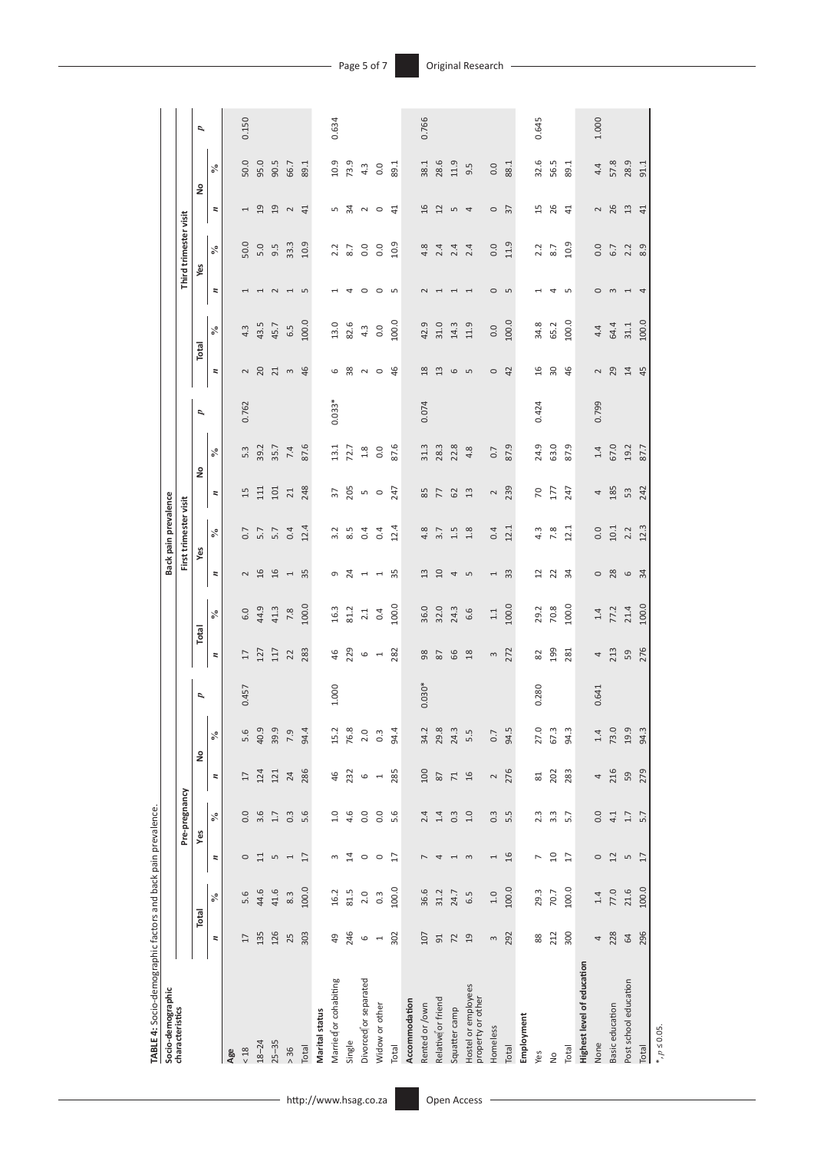| TABLE 4: Socio-demographic factors and back pain prevalence |                          |                            |                          |                  |                          |                                            |          |                          |         |                          |                            |                          |         |                |                  |       |                          |                       |                          |                            |       |
|-------------------------------------------------------------|--------------------------|----------------------------|--------------------------|------------------|--------------------------|--------------------------------------------|----------|--------------------------|---------|--------------------------|----------------------------|--------------------------|---------|----------------|------------------|-------|--------------------------|-----------------------|--------------------------|----------------------------|-------|
| Socio-demographic                                           |                          |                            |                          |                  |                          |                                            |          |                          |         |                          | Back pain prevalence       |                          |         |                |                  |       |                          |                       |                          |                            |       |
| characteristics                                             |                          |                            |                          | Pre-pregnancy    |                          |                                            |          |                          |         |                          | First trimester visit      |                          |         |                |                  |       |                          | Third trimester visit |                          |                            |       |
|                                                             |                          | Total                      |                          | Yes              |                          | å                                          | p        | Total                    |         | yes                      |                            | å                        |         | $\overline{a}$ | Total            |       | Yes                      |                       | å                        |                            | p     |
|                                                             | $\overline{\phantom{a}}$ | వ                          | $\overline{a}$           | $\%$             | $\overline{\phantom{a}}$ | $\mathbf{I}$<br>$\mathcal{S}_{\mathbf{0}}$ |          | $\overline{\phantom{a}}$ | $\%$    | $\overline{\phantom{a}}$ | $\mathcal{S}_{\mathbf{0}}$ | $\overline{\phantom{a}}$ | $\%$    |                | z                | $\%$  | $\overline{\phantom{a}}$ | $\%$                  | $\overline{\phantom{a}}$ | $\mathcal{S}_{\mathbf{0}}$ |       |
| Age                                                         |                          |                            |                          |                  |                          |                                            |          |                          |         |                          |                            |                          |         |                |                  |       |                          |                       |                          |                            |       |
| $<18$                                                       | $\overline{17}$          | $\tilde{\mathbf{e}}$<br>ம் | $\circ$                  | 0.0              | $\overline{17}$          | 5.6                                        | 0.457    | 17                       | 6.0     | $\sim$                   | 0.7                        | 15                       | 5.3     | 0.762          | $\sim$           | 4.3   | 1                        | 50.0                  | 1                        | 50.0                       | 0.150 |
| $18 - 24$                                                   | 135                      | 44.6                       | $\Xi$                    | 3.6              | 124                      | 40.9                                       |          | 127                      | 44.9    | 16                       | 5.7                        | $\overline{11}$          | 39.2    |                | 20               | 43.5  | $\overline{\phantom{0}}$ | 5.0                   | 19                       | 95.0                       |       |
| $25 - 35$                                                   | 126                      | 41.6                       | $\overline{5}$           | 1.7              | 121                      | 39.9                                       |          | 117                      | 41.3    | 16                       | 5.7                        | 101                      | 35.7    |                | 21               | 45.7  | $\sim$                   | 9.5                   | 19                       | 90.5                       |       |
| > 36                                                        | 25                       | 8.3                        | $\overline{ }$           | $0.\overline{3}$ | 24                       | 7.9                                        |          | 22                       | 7.8     | I                        | 0.4                        | 21                       | 7.4     |                | $\infty$         | 6.5   | $\overline{ }$           | 33.3                  | $\sim$                   | 66.7                       |       |
| Total                                                       | 303                      | 100.0                      | $\overline{1}$           | 5.6              | 286                      | 94.4                                       |          | 283                      | 100.0   | 35                       | 12.4                       | 248                      | 87.6    |                | 46               | 100.0 | 5                        | 10.9                  | 41                       | 89.1                       |       |
| Marital status                                              |                          |                            |                          |                  |                          |                                            |          |                          |         |                          |                            |                          |         |                |                  |       |                          |                       |                          |                            |       |
| Married or cohabiting                                       | 49                       | 16.2                       | $\sim$                   | 1.0              | 46                       | 15.2                                       | 1.000    | 46                       | 16.3    | G                        | 3.2                        | $\overline{37}$          | 13.1    | $0.033*$       | $\mathbf \omega$ | 13.0  | H                        | 2.2                   | 5                        | 10.9                       | 0.634 |
| Single                                                      | 246                      | 81.5                       | 14                       | 4.6              | 232                      | 76.8                                       |          | 229                      | 81.2    | 24                       | 8.5                        | 205                      | 72.7    |                | 38               | 82.6  | 4                        | 8.7                   | 34                       | 73.9                       |       |
| Divorced or separated                                       | $\circ$                  | 2.0                        | $\circ$ $\circ$          | 0.0              | $\circ$                  | 2.0                                        |          | $\mathbf \omega$         | 2.1     | $\overline{ }$           | 0.4                        | S                        | $1.8$   |                | $\sim$           | 4.3   | $\circ$ $\circ$          | 0.0                   | $N$ 0                    | 4.3                        |       |
| Widow or other                                              | $\overline{ }$           | $0.\overline{3}$           |                          | 0.0              | $\overline{a}$           | $0.\overline{3}$                           |          | $\overline{a}$           | 0.4     | $\overline{ }$           | 0.4                        | $\circ$                  | 0.0     |                | $\circ$          | 0.0   |                          | 0.0                   |                          | 0.0                        |       |
| Total                                                       | 302                      | 100.0                      | $\overline{1}$           | 5.6              | 285                      | 94.4                                       |          | 282                      | 100.0   | 35                       | 12.4                       | 247                      | 87.6    |                | 46               | 100.0 | 5                        | 10.9                  | $\overline{4}$           | 89.1                       |       |
| Accommodation                                               |                          |                            |                          |                  |                          |                                            |          |                          |         |                          |                            |                          |         |                |                  |       |                          |                       |                          |                            |       |
| Rented or /own                                              | 107                      | 36.6                       | $\overline{ }$           | 2.4              | 100                      | 34.2                                       | $0.030*$ | 98                       | 36.0    | 13                       | 4.8                        | 85                       | 31.3    | 0.074          | 18               | 42.9  | $\sim$                   | 4.8                   | 16                       | 38.1                       | 0.766 |
| Relative or friend                                          | 51                       | 31.2                       | 4                        | 1.4              | 87                       | 29.8                                       |          | 87                       | 32.0    | 10                       | 3.7                        | 77                       | 28.3    |                | 13               | 31.0  | $\overline{ }$           | 2.4                   | 12                       | 28.6                       |       |
| Squatter camp                                               | $\overline{z}$           | 24.7                       | $\overline{\phantom{0}}$ | $0.\overline{3}$ | $\mathbf{z}$             | 24.3                                       |          | 66                       | 24.3    | 4                        | 1.5                        | 62                       | 22.8    |                | $\mathbf \omega$ | 14.3  | $\overline{ }$           | 2.4                   | $\overline{5}$           | 11.9                       |       |
| Hostel or employees<br>property or other                    | 19                       | 6.5                        | $\infty$                 | $1.0$            | $\frac{16}{2}$           | 5.5                                        |          | $18$                     | 6.6     | 5                        | 1.8                        | 13                       | 4.8     |                | S                | 11.9  | $\overline{\phantom{0}}$ | 2.4                   | 4                        | 9.5                        |       |
| Homeless                                                    | $\sim$                   | 1.0                        | $\overline{\phantom{0}}$ | $0.\overline{3}$ | $\sim$                   | 0.7                                        |          | $\sim$                   | $1.1\,$ | 1                        | 0.4                        | $\sim$                   | 0.7     |                | $\circ$          | 0.0   | $\circ$                  | 0.0                   | $\circ$                  | 0.0                        |       |
| Total                                                       | 292                      | 100.0                      | 16                       | 5.5              | 276                      | 94.5                                       |          | 272                      | 100.0   | 33                       | 12.1                       | 239                      | 87.9    |                | 42               | 100.0 | S                        | 11.9                  | $\overline{37}$          | 88.1                       |       |
| Employment                                                  |                          |                            |                          |                  |                          |                                            |          |                          |         |                          |                            |                          |         |                |                  |       |                          |                       |                          |                            |       |
| Yes                                                         | 88                       | 29.3                       | $\overline{ }$           | 2.3              | 81                       | 27.0                                       | 0.280    | 82                       | 29.2    | $\overline{1}$           | 4.3                        | 20                       | 24.9    | 0.424          | 16               | 34.8  | 1                        | 2.2                   | 15                       | 32.6                       | 0.645 |
| $\frac{1}{2}$                                               | 212                      | 70.7                       | $\overline{10}$          | $3.\overline{3}$ | 202                      | 67.3                                       |          | 199                      | 70.8    | 22                       | 7.8                        | 177                      | 63.0    |                | 30               | 65.2  | 4                        | 8.7                   | 26                       | 56.5                       |       |
| Total                                                       | 300                      | 100.0                      | $\overline{17}$          | 5.7              | 283                      | 94.3                                       |          | 281                      | 100.0   | 34                       | 12.1                       | 247                      | 87.9    |                | 46               | 100.0 | $\sqrt{2}$               | 10.9                  | $\overline{41}$          | 89.1                       |       |
| Highest level of education                                  |                          |                            |                          |                  |                          |                                            |          |                          |         |                          |                            |                          |         |                |                  |       |                          |                       |                          |                            |       |
| None                                                        | 4                        | 1.4                        | $\circ$                  | 0.0              | 4                        | 1.4                                        | 0.641    | 4                        | $1.4\,$ | $\circ$                  | 0.0                        | 4                        | $1.4\,$ | 0.799          | $\sim$           | 4.4   | $\circ$                  | 0.0                   | $\sim$                   | 4.4                        | 1.000 |
| Basic education                                             | 228                      | 77.0                       | $12$                     | 4.1              | 216                      | 73.0                                       |          | 213                      | 77.2    | 28                       | $10.1\,$                   | 185                      | 67.0    |                | 29               | 64.4  | $\mathsf{S}$             | 6.7                   | 26                       | 57.8                       |       |
| Post school education                                       | 64                       | 21.6                       | LŊ                       | 1.7              | 59                       | 19.9                                       |          | 59                       | 21.4    | $\circ$                  | 2.2                        | 53                       | 19.2    |                | 14               | 31.1  | $\overline{ }$           | 2.2                   | 13                       | 28.9                       |       |
| Total                                                       | 296                      | 100.0                      | 17                       | 5.7              | 279                      | 94.3                                       |          | 276                      | 100.0   | 34                       | 12.3                       | 242                      | 87.7    |                | 45               | 100.0 | 4                        | 8.9                   | 41                       | 91.1                       |       |
| *, $p$ ≤ 0.05.                                              |                          |                            |                          |                  |                          |                                            |          |                          |         |                          |                            |                          |         |                |                  |       |                          |                       |                          |                            |       |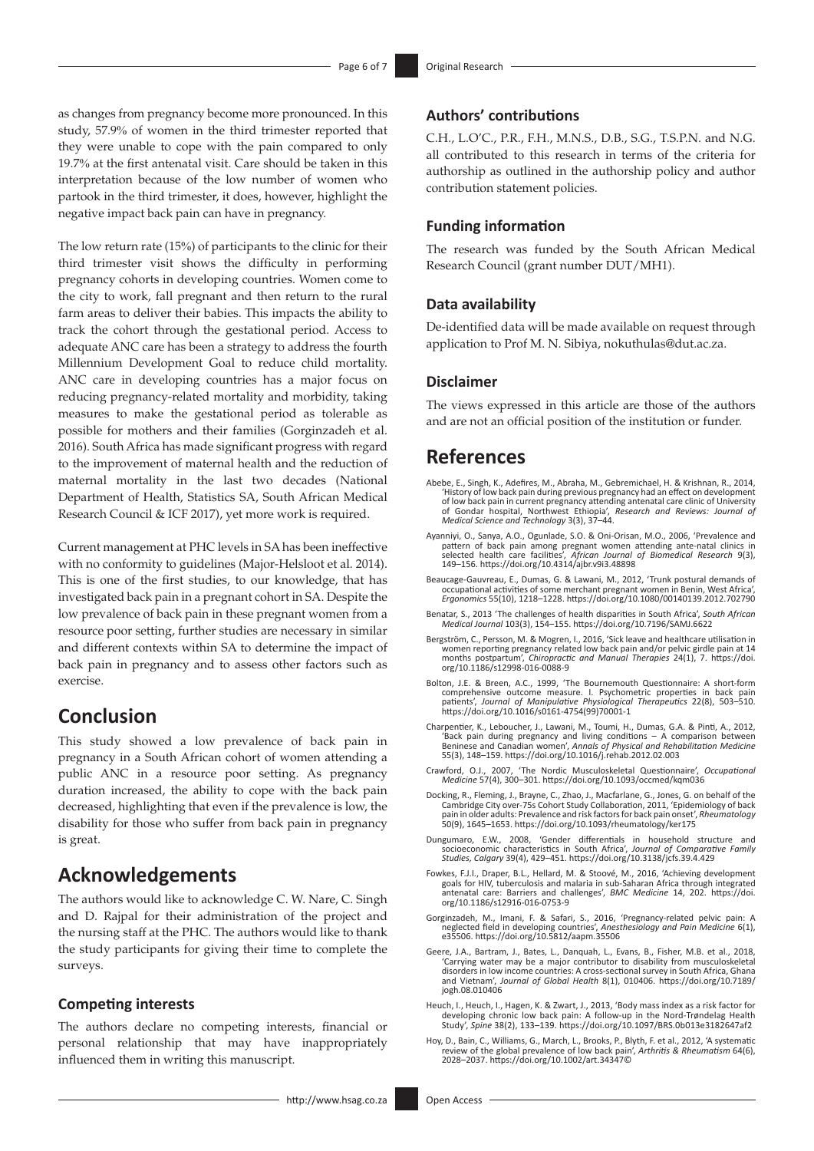as changes from pregnancy become more pronounced. In this study, 57.9% of women in the third trimester reported that they were unable to cope with the pain compared to only 19.7% at the first antenatal visit. Care should be taken in this interpretation because of the low number of women who partook in the third trimester, it does, however, highlight the negative impact back pain can have in pregnancy.

The low return rate (15%) of participants to the clinic for their third trimester visit shows the difficulty in performing pregnancy cohorts in developing countries. Women come to the city to work, fall pregnant and then return to the rural farm areas to deliver their babies. This impacts the ability to track the cohort through the gestational period. Access to adequate ANC care has been a strategy to address the fourth Millennium Development Goal to reduce child mortality. ANC care in developing countries has a major focus on reducing pregnancy-related mortality and morbidity, taking measures to make the gestational period as tolerable as possible for mothers and their families (Gorginzadeh et al. 2016). South Africa has made significant progress with regard to the improvement of maternal health and the reduction of maternal mortality in the last two decades (National Department of Health, Statistics SA, South African Medical Research Council & ICF 2017), yet more work is required.

Current management at PHC levels in SA has been ineffective with no conformity to guidelines (Major-Helsloot et al. 2014). This is one of the first studies, to our knowledge, that has investigated back pain in a pregnant cohort in SA. Despite the low prevalence of back pain in these pregnant women from a resource poor setting, further studies are necessary in similar and different contexts within SA to determine the impact of back pain in pregnancy and to assess other factors such as exercise.

## **Conclusion**

This study showed a low prevalence of back pain in pregnancy in a South African cohort of women attending a public ANC in a resource poor setting. As pregnancy duration increased, the ability to cope with the back pain decreased, highlighting that even if the prevalence is low, the disability for those who suffer from back pain in pregnancy is great.

### **Acknowledgements**

The authors would like to acknowledge C. W. Nare, C. Singh and D. Rajpal for their administration of the project and the nursing staff at the PHC. The authors would like to thank the study participants for giving their time to complete the surveys.

#### **Competing interests**

The authors declare no competing interests, financial or personal relationship that may have inappropriately influenced them in writing this manuscript.

### **Authors' contributions**

C.H., L.O'C., P.R., F.H., M.N.S., D.B., S.G., T.S.P.N. and N.G. all contributed to this research in terms of the criteria for authorship as outlined in the authorship policy and author contribution statement policies.

#### **Funding information**

The research was funded by the South African Medical Research Council (grant number DUT/MH1).

#### **Data availability**

De-identified data will be made available on request through application to Prof M. N. Sibiya, [nokuthulas@dut.ac.za.](mailto:nokuthulas@dut.ac.za)

### **Disclaimer**

The views expressed in this article are those of the authors and are not an official position of the institution or funder.

### **References**

- Abebe, E., Singh, K., Adefires, M., Abraha, M., Gebremichael, H. & Krishnan, R., 2014, 'History of low back pain during previous pregnancy had an effect on development of low back pain in current pregnancy attending antenatal care clinic of University of Gondar hospital, Northwest Ethiopia', *Research and Reviews: Journal of Medical Science and Technology* 3(3), 37–44.
- Ayanniyi, O., Sanya, A.O., Ogunlade, S.O. & Oni-Orisan, M.O., 2006, 'Prevalence and pattern of back pain among pregnant women attending ante-natal clinics in selected health care facilities', African Journal of Biomedical
- Beaucage-Gauvreau, E., Dumas, G. & Lawani, M., 2012, 'Trunk postural demands of occupational activities of some merchant pregnant women in Benin, West Africa', *Ergonomics* 55(10), 1218–1228. <https://doi.org/10.1080/00140139.2012.702790>
- Benatar, S., 2013 'The challenges of health disparities in South Africa', *South African Medical Journal* 103(3), 154–155.<https://doi.org/10.7196/SAMJ.6622>
- Bergström, C., Persson, M. & Mogren, I., 2016, 'Sick leave and healthcare utilisation in<br>women reporting pregnancy related low back pain and/or pelvic girdle pain at 14<br>months postpartum', *Chiropractic and Manual Therapie* [org/10.1186/s12998-016-0088-9](https://doi.org/10.1186/s12998-016-0088-9)
- Bolton, J.E. & Breen, A.C., 1999, 'The Bournemouth Questionnaire: A short-form comprehensive outcome measure. I. Psychometric properties in back pain patients', *Journal of Manipulative Physiological Therapeutics* 22(8), 503–510. Comprenditions...<br>patients', Journal of Manipulative Physiologicus<br>[https://doi.org/10.1016/s0161-4754\(99\)70001-1](https://doi.org/10.1016/s0161-4754(99)70001-1)
- Charpentier, K., Leboucher, J., Lawani, M., Toumi, H., Dumas, G.A. & Pinti, A., 2012, 'Back pain during pregnancy and living conditions – A comparison between<br>Beninese and Canadian women', *Annals of Physical and Rehabilitation Medicine*<br>55(3), 148–159.<https://doi.org/10.1016/j.rehab.2012.02.003>
- Crawford, O.J., 2007, 'The Nordic Musculoskeletal Questionnaire', *Occupational Medicine* 57(4), 300–301.<https://doi.org/10.1093/occmed/kqm036>
- Docking, R., Fleming, J., Brayne, C., Zhao, J., Macfarlane, G., Jones, G. on behalf of the Cambridge City over-75s Cohort Study Collaboration, 2011, 'Epidemiology of back pain in older adults: Prevalence and risk factors for back pain onset', *Rheumatology*  50(9), 1645–1653. <https://doi.org/10.1093/rheumatology/ker175>
- Dungumaro, E.W., 2008, 'Gender differentials in household structure and socioeconomic characteristics in South Africa', *Journal of Comparative Family Studies, Calgary* 39(4), 429–451.<https://doi.org/10.3138/jcfs.39.4.429>
- Fowkes, F.J.I., Draper, B.L., Hellard, M. & Stoové, M., 2016, 'Achieving development goals for HIV, tuberculosis and malaria in sub-Saharan Africa through integrated antenatal care: Barriers and challenges', *BMC Medicine* 14, 202. [https://doi.](https://doi.org/10.1186/s12916-016-0753-9) [org/10.1186/s12916-016-0753-9](https://doi.org/10.1186/s12916-016-0753-9)
- Gorginzadeh, M., Imani, F. & Safari, S., 2016, 'Pregnancy-related pelvic pain: A neglected field in developing countries', *Anesthesiology and Pain Medicine* 6(1), e35506. <https://doi.org/10.5812/aapm.35506>
- Geere, J.A., Bartram, J., Bates, L., Danquah, L., Evans, B., Fisher, M.B. et al., 2018, 'Carrying water may be a major contributor to disability from musculoskeletal disorders in low income countries: A cross-sectional survey in South Africa, Ghana and Vietnam', *Journal of Global Health* 8(1), 010406. [https://doi.org/10.7189/](https://doi.org/10.7189/jogh.08.010406) [jogh.08.010406](https://doi.org/10.7189/jogh.08.010406)
- Heuch, I., Heuch, I., Hagen, K. & Zwart, J., 2013, 'Body mass index as a risk factor for developing chronic low back pain: A follow-up in the Nord-Trøndelag Health Study', *Spine* 38(2), 133–139.<https://doi.org/10.1097/BRS.0b013e3182647af2>
- Hoy, D., Bain, C., Williams, G., March, L., Brooks, P., Blyth, F. et al., 2012, 'A systematic review of the global prevalence of low back pain', *Arthritis & Rheumatism* 64(6), 2028–2037.<https://doi.org/10.1002/art.34347>©